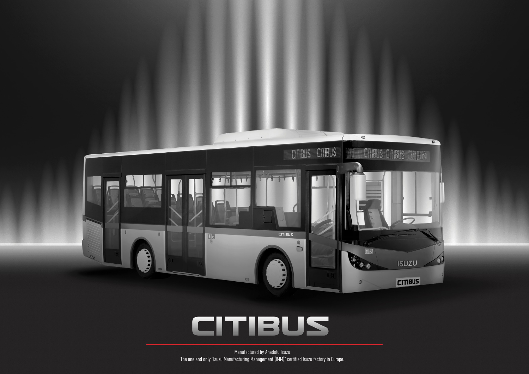

# CITIBUS

Manufactured by Anadolu Isuzu The one and only "Isuzu Manufacturing Management (IMM)" certified Isuzu factory in Europe.